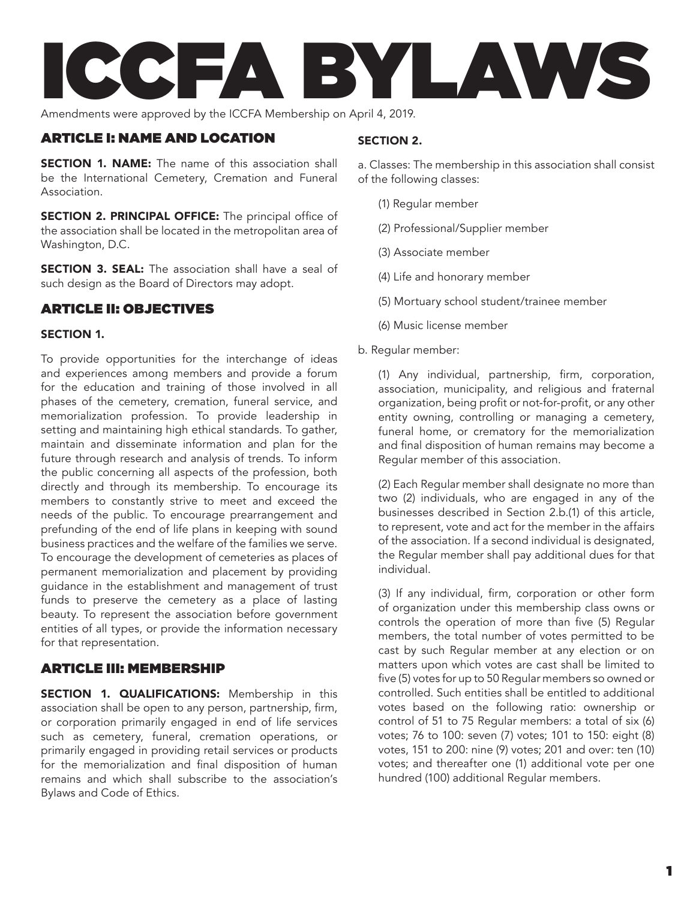

Amendments were approved by the ICCFA Membership on April 4, 2019.

### ARTICLE I: NAME AND LOCATION

**SECTION 1. NAME:** The name of this association shall be the International Cemetery, Cremation and Funeral Association.

SECTION 2. PRINCIPAL OFFICE: The principal office of the association shall be located in the metropolitan area of Washington, D.C.

**SECTION 3. SEAL:** The association shall have a seal of such design as the Board of Directors may adopt.

# ARTICLE II: OBJECTIVES

#### Section 1.

To provide opportunities for the interchange of ideas and experiences among members and provide a forum for the education and training of those involved in all phases of the cemetery, cremation, funeral service, and memorialization profession. To provide leadership in setting and maintaining high ethical standards. To gather, maintain and disseminate information and plan for the future through research and analysis of trends. To inform the public concerning all aspects of the profession, both directly and through its membership. To encourage its members to constantly strive to meet and exceed the needs of the public. To encourage prearrangement and prefunding of the end of life plans in keeping with sound business practices and the welfare of the families we serve. To encourage the development of cemeteries as places of permanent memorialization and placement by providing guidance in the establishment and management of trust funds to preserve the cemetery as a place of lasting beauty. To represent the association before government entities of all types, or provide the information necessary for that representation.

### ARTICLE III: MEMBERSHIP

SECTION 1. QUALIFICATIONS: Membership in this association shall be open to any person, partnership, firm, or corporation primarily engaged in end of life services such as cemetery, funeral, cremation operations, or primarily engaged in providing retail services or products for the memorialization and final disposition of human remains and which shall subscribe to the association's Bylaws and Code of Ethics.

### Section 2.

a. Classes: The membership in this association shall consist of the following classes:

- (1) Regular member
- (2) Professional/Supplier member
- (3) Associate member
- (4) Life and honorary member
- (5) Mortuary school student/trainee member
- (6) Music license member
- b. Regular member:

(1) Any individual, partnership, firm, corporation, association, municipality, and religious and fraternal organization, being profit or not-for-profit, or any other entity owning, controlling or managing a cemetery, funeral home, or crematory for the memorialization and final disposition of human remains may become a Regular member of this association.

(2) Each Regular member shall designate no more than two (2) individuals, who are engaged in any of the businesses described in Section 2.b.(1) of this article, to represent, vote and act for the member in the affairs of the association. If a second individual is designated, the Regular member shall pay additional dues for that individual.

(3) If any individual, firm, corporation or other form of organization under this membership class owns or controls the operation of more than five (5) Regular members, the total number of votes permitted to be cast by such Regular member at any election or on matters upon which votes are cast shall be limited to five (5) votes for up to 50 Regular members so owned or controlled. Such entities shall be entitled to additional votes based on the following ratio: ownership or control of 51 to 75 Regular members: a total of six (6) votes; 76 to 100: seven (7) votes; 101 to 150: eight (8) votes, 151 to 200: nine (9) votes; 201 and over: ten (10) votes; and thereafter one (1) additional vote per one hundred (100) additional Regular members.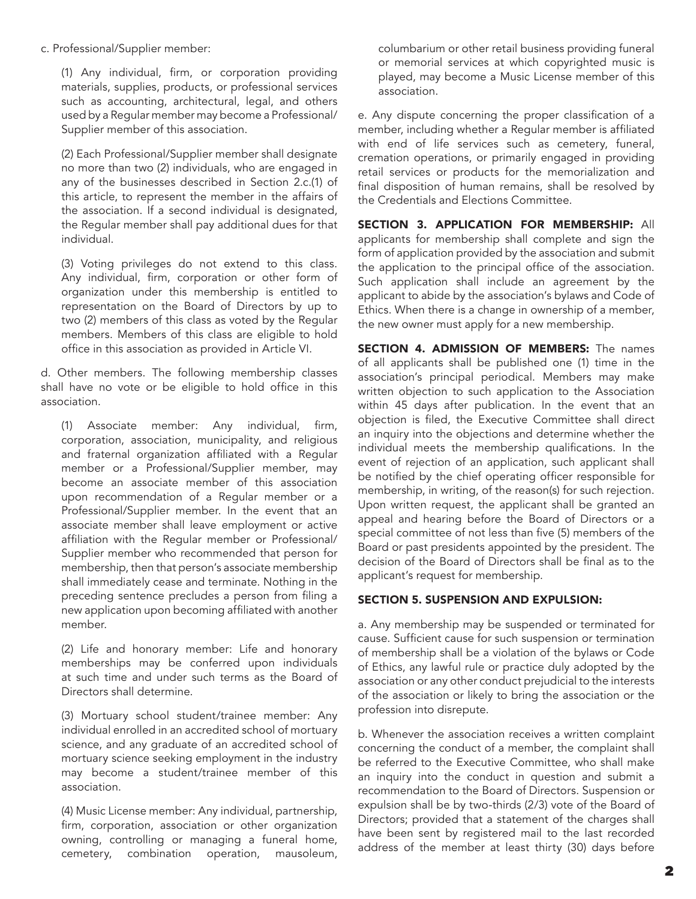#### c. Professional/Supplier member:

(1) Any individual, firm, or corporation providing materials, supplies, products, or professional services such as accounting, architectural, legal, and others used by a Regular member may become a Professional/ Supplier member of this association.

(2) Each Professional/Supplier member shall designate no more than two (2) individuals, who are engaged in any of the businesses described in Section 2.c.(1) of this article, to represent the member in the affairs of the association. If a second individual is designated, the Regular member shall pay additional dues for that individual.

(3) Voting privileges do not extend to this class. Any individual, firm, corporation or other form of organization under this membership is entitled to representation on the Board of Directors by up to two (2) members of this class as voted by the Regular members. Members of this class are eligible to hold office in this association as provided in Article VI.

d. Other members. The following membership classes shall have no vote or be eligible to hold office in this association.

(1) Associate member: Any individual, firm, corporation, association, municipality, and religious and fraternal organization affiliated with a Regular member or a Professional/Supplier member, may become an associate member of this association upon recommendation of a Regular member or a Professional/Supplier member. In the event that an associate member shall leave employment or active affiliation with the Regular member or Professional/ Supplier member who recommended that person for membership, then that person's associate membership shall immediately cease and terminate. Nothing in the preceding sentence precludes a person from filing a new application upon becoming affiliated with another member.

(2) Life and honorary member: Life and honorary memberships may be conferred upon individuals at such time and under such terms as the Board of Directors shall determine.

(3) Mortuary school student/trainee member: Any individual enrolled in an accredited school of mortuary science, and any graduate of an accredited school of mortuary science seeking employment in the industry may become a student/trainee member of this association.

(4) Music License member: Any individual, partnership, firm, corporation, association or other organization owning, controlling or managing a funeral home, cemetery, combination operation, mausoleum, columbarium or other retail business providing funeral or memorial services at which copyrighted music is played, may become a Music License member of this association.

e. Any dispute concerning the proper classification of a member, including whether a Regular member is affiliated with end of life services such as cemetery, funeral, cremation operations, or primarily engaged in providing retail services or products for the memorialization and final disposition of human remains, shall be resolved by the Credentials and Elections Committee.

SECTION 3. APPLICATION FOR MEMBERSHIP: All applicants for membership shall complete and sign the form of application provided by the association and submit the application to the principal office of the association. Such application shall include an agreement by the applicant to abide by the association's bylaws and Code of Ethics. When there is a change in ownership of a member, the new owner must apply for a new membership.

SECTION 4. ADMISSION OF MEMBERS: The names of all applicants shall be published one (1) time in the association's principal periodical. Members may make written objection to such application to the Association within 45 days after publication. In the event that an objection is filed, the Executive Committee shall direct an inquiry into the objections and determine whether the individual meets the membership qualifications. In the event of rejection of an application, such applicant shall be notified by the chief operating officer responsible for membership, in writing, of the reason(s) for such rejection. Upon written request, the applicant shall be granted an appeal and hearing before the Board of Directors or a special committee of not less than five (5) members of the Board or past presidents appointed by the president. The decision of the Board of Directors shall be final as to the applicant's request for membership.

#### Section 5. Suspension and Expulsion:

a. Any membership may be suspended or terminated for cause. Sufficient cause for such suspension or termination of membership shall be a violation of the bylaws or Code of Ethics, any lawful rule or practice duly adopted by the association or any other conduct prejudicial to the interests of the association or likely to bring the association or the profession into disrepute.

b. Whenever the association receives a written complaint concerning the conduct of a member, the complaint shall be referred to the Executive Committee, who shall make an inquiry into the conduct in question and submit a recommendation to the Board of Directors. Suspension or expulsion shall be by two-thirds (2/3) vote of the Board of Directors; provided that a statement of the charges shall have been sent by registered mail to the last recorded address of the member at least thirty (30) days before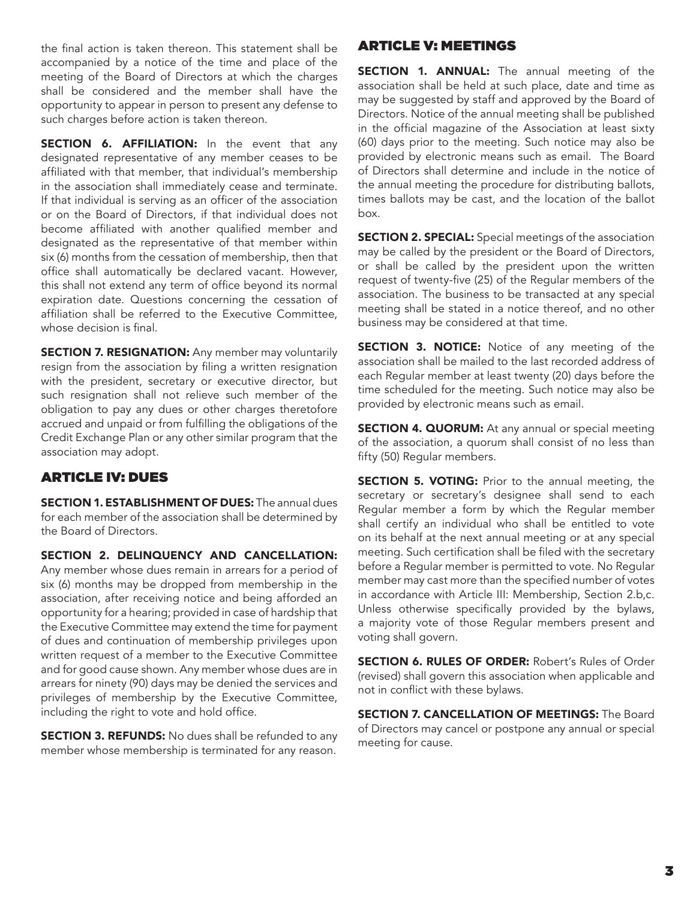the final action is taken thereon. This statement shall be accompanied by a notice of the time and place of the meeting of the Board of Directors at which the charges shall be considered and the member shall have the opportunity to appear in person to present any defense to such charges before action is taken thereon.

SECTION 6. AFFILIATION: In the event that any designated representative of any member ceases to be affiliated with that member, that individual's membership in the association shall immediately cease and terminate. If that individual is serving as an officer of the association or on the Board of Directors, if that individual does not become affiliated with another qualified member and designated as the representative of that member within six (6) months from the cessation of membership, then that office shall automatically be declared vacant. However, this shall not extend any term of office beyond its normal expiration date. Questions concerning the cessation of affiliation shall be referred to the Executive Committee, whose decision is final.

**SECTION 7. RESIGNATION:** Any member may voluntarily resign from the association by filing a written resignation with the president, secretary or executive director, but such resignation shall not relieve such member of the obligation to pay any dues or other charges theretofore accrued and unpaid or from fulfilling the obligations of the Credit Exchange Plan or any other similar program that the association may adopt.

# ARTICLE IV: DUES

SECTION 1. ESTABLISHMENT OF DUES: The annual dues for each member of the association shall be determined by the Board of Directors.

SECTION 2. DELINQUENCY AND CANCELLATION: Any member whose dues remain in arrears for a period of six (6) months may be dropped from membership in the association, after receiving notice and being afforded an opportunity for a hearing; provided in case of hardship that the Executive Committee may extend the time for payment of dues and continuation of membership privileges upon written request of a member to the Executive Committee and for good cause shown. Any member whose dues are in arrears for ninety (90) days may be denied the services and privileges of membership by the Executive Committee, including the right to vote and hold office.

**SECTION 3. REFUNDS:** No dues shall be refunded to any member whose membership is terminated for any reason.

## ARTICLE V: MEETINGS

**SECTION 1. ANNUAL:** The annual meeting of the association shall be held at such place, date and time as may be suggested by staff and approved by the Board of Directors. Notice of the annual meeting shall be published in the official magazine of the Association at least sixty (60) days prior to the meeting. Such notice may also be provided by electronic means such as email. The Board of Directors shall determine and include in the notice of the annual meeting the procedure for distributing ballots, times ballots may be cast, and the location of the ballot box.

**SECTION 2. SPECIAL:** Special meetings of the association may be called by the president or the Board of Directors, or shall be called by the president upon the written request of twenty-five (25) of the Regular members of the association. The business to be transacted at any special meeting shall be stated in a notice thereof, and no other business may be considered at that time.

**SECTION 3. NOTICE:** Notice of any meeting of the association shall be mailed to the last recorded address of each Regular member at least twenty (20) days before the time scheduled for the meeting. Such notice may also be provided by electronic means such as email.

**SECTION 4. QUORUM:** At any annual or special meeting of the association, a quorum shall consist of no less than fifty (50) Regular members.

SECTION 5. VOTING: Prior to the annual meeting, the secretary or secretary's designee shall send to each Regular member a form by which the Regular member shall certify an individual who shall be entitled to vote on its behalf at the next annual meeting or at any special meeting. Such certification shall be filed with the secretary before a Regular member is permitted to vote. No Regular member may cast more than the specified number of votes in accordance with Article III: Membership, Section 2.b,c. Unless otherwise specifically provided by the bylaws, a majority vote of those Regular members present and voting shall govern.

SECTION 6. RULES OF ORDER: Robert's Rules of Order (revised) shall govern this association when applicable and not in conflict with these bylaws.

SECTION 7. CANCELLATION OF MEETINGS: The Board of Directors may cancel or postpone any annual or special meeting for cause.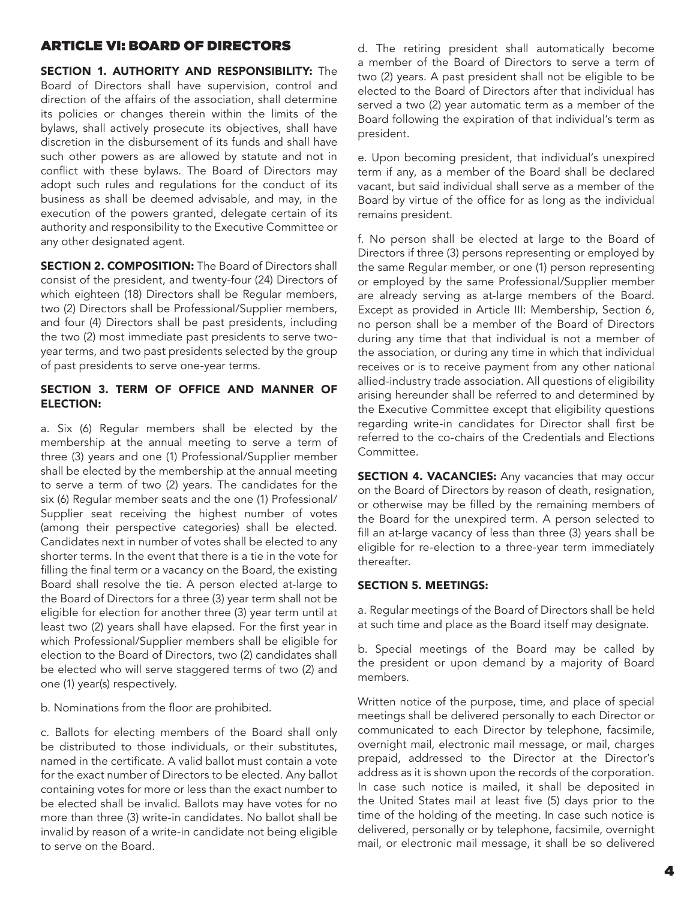## ARTICLE VI: BOARD OF DIRECTORS

SECTION 1. AUTHORITY AND RESPONSIBILITY: The Board of Directors shall have supervision, control and direction of the affairs of the association, shall determine its policies or changes therein within the limits of the bylaws, shall actively prosecute its objectives, shall have discretion in the disbursement of its funds and shall have such other powers as are allowed by statute and not in conflict with these bylaws. The Board of Directors may adopt such rules and regulations for the conduct of its business as shall be deemed advisable, and may, in the execution of the powers granted, delegate certain of its authority and responsibility to the Executive Committee or any other designated agent.

**SECTION 2. COMPOSITION:** The Board of Directors shall consist of the president, and twenty-four (24) Directors of which eighteen (18) Directors shall be Regular members, two (2) Directors shall be Professional/Supplier members, and four (4) Directors shall be past presidents, including the two (2) most immediate past presidents to serve twoyear terms, and two past presidents selected by the group of past presidents to serve one-year terms.

#### Section 3. Term of Office and Manner of Election:

a. Six (6) Regular members shall be elected by the membership at the annual meeting to serve a term of three (3) years and one (1) Professional/Supplier member shall be elected by the membership at the annual meeting to serve a term of two (2) years. The candidates for the six (6) Regular member seats and the one (1) Professional/ Supplier seat receiving the highest number of votes (among their perspective categories) shall be elected. Candidates next in number of votes shall be elected to any shorter terms. In the event that there is a tie in the vote for filling the final term or a vacancy on the Board, the existing Board shall resolve the tie. A person elected at-large to the Board of Directors for a three (3) year term shall not be eligible for election for another three (3) year term until at least two (2) years shall have elapsed. For the first year in which Professional/Supplier members shall be eligible for election to the Board of Directors, two (2) candidates shall be elected who will serve staggered terms of two (2) and one (1) year(s) respectively.

b. Nominations from the floor are prohibited.

c. Ballots for electing members of the Board shall only be distributed to those individuals, or their substitutes, named in the certificate. A valid ballot must contain a vote for the exact number of Directors to be elected. Any ballot containing votes for more or less than the exact number to be elected shall be invalid. Ballots may have votes for no more than three (3) write-in candidates. No ballot shall be invalid by reason of a write-in candidate not being eligible to serve on the Board.

d. The retiring president shall automatically become a member of the Board of Directors to serve a term of two (2) years. A past president shall not be eligible to be elected to the Board of Directors after that individual has served a two (2) year automatic term as a member of the Board following the expiration of that individual's term as president.

e. Upon becoming president, that individual's unexpired term if any, as a member of the Board shall be declared vacant, but said individual shall serve as a member of the Board by virtue of the office for as long as the individual remains president.

f. No person shall be elected at large to the Board of Directors if three (3) persons representing or employed by the same Regular member, or one (1) person representing or employed by the same Professional/Supplier member are already serving as at-large members of the Board. Except as provided in Article III: Membership, Section 6, no person shall be a member of the Board of Directors during any time that that individual is not a member of the association, or during any time in which that individual receives or is to receive payment from any other national allied-industry trade association. All questions of eligibility arising hereunder shall be referred to and determined by the Executive Committee except that eligibility questions regarding write-in candidates for Director shall first be referred to the co-chairs of the Credentials and Elections Committee.

**SECTION 4. VACANCIES:** Any vacancies that may occur on the Board of Directors by reason of death, resignation, or otherwise may be filled by the remaining members of the Board for the unexpired term. A person selected to fill an at-large vacancy of less than three (3) years shall be eligible for re-election to a three-year term immediately thereafter.

#### Section 5. Meetings:

a. Regular meetings of the Board of Directors shall be held at such time and place as the Board itself may designate.

b. Special meetings of the Board may be called by the president or upon demand by a majority of Board members.

Written notice of the purpose, time, and place of special meetings shall be delivered personally to each Director or communicated to each Director by telephone, facsimile, overnight mail, electronic mail message, or mail, charges prepaid, addressed to the Director at the Director's address as it is shown upon the records of the corporation. In case such notice is mailed, it shall be deposited in the United States mail at least five (5) days prior to the time of the holding of the meeting. In case such notice is delivered, personally or by telephone, facsimile, overnight mail, or electronic mail message, it shall be so delivered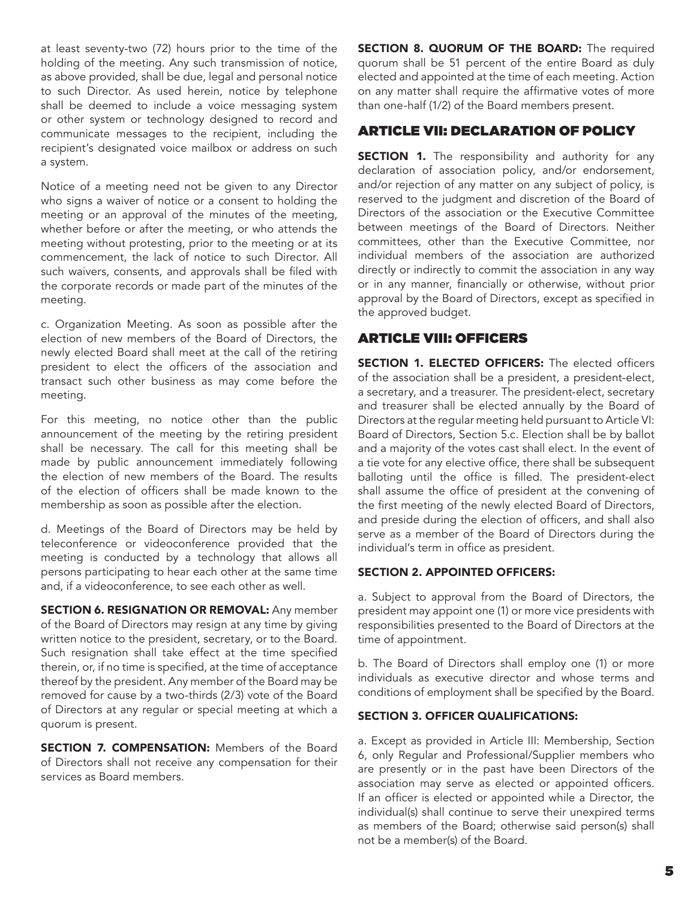at least seventy-two (72) hours prior to the time of the holding of the meeting. Any such transmission of notice, as above provided, shall be due, legal and personal notice to such Director. As used herein, notice by telephone shall be deemed to include a voice messaging system or other system or technology designed to record and communicate messages to the recipient, including the recipient's designated voice mailbox or address on such a system.

Notice of a meeting need not be given to any Director who signs a waiver of notice or a consent to holding the meeting or an approval of the minutes of the meeting, whether before or after the meeting, or who attends the meeting without protesting, prior to the meeting or at its commencement, the lack of notice to such Director. All such waivers, consents, and approvals shall be filed with the corporate records or made part of the minutes of the meeting.

c. Organization Meeting. As soon as possible after the election of new members of the Board of Directors, the newly elected Board shall meet at the call of the retiring president to elect the officers of the association and transact such other business as may come before the meeting.

For this meeting, no notice other than the public announcement of the meeting by the retiring president shall be necessary. The call for this meeting shall be made by public announcement immediately following the election of new members of the Board. The results of the election of officers shall be made known to the membership as soon as possible after the election.

d. Meetings of the Board of Directors may be held by teleconference or videoconference provided that the meeting is conducted by a technology that allows all persons participating to hear each other at the same time and, if a videoconference, to see each other as well.

SECTION 6. RESIGNATION OR REMOVAL: Any member of the Board of Directors may resign at any time by giving written notice to the president, secretary, or to the Board. Such resignation shall take effect at the time specified therein, or, if no time is specified, at the time of acceptance thereof by the president. Any member of the Board may be removed for cause by a two-thirds (2/3) vote of the Board of Directors at any regular or special meeting at which a quorum is present.

SECTION 7. COMPENSATION: Members of the Board of Directors shall not receive any compensation for their services as Board members.

SECTION 8. QUORUM OF THE BOARD: The required quorum shall be 51 percent of the entire Board as duly elected and appointed at the time of each meeting. Action on any matter shall require the affirmative votes of more than one-half (1/2) of the Board members present.

## ARTICLE VII: DECLARATION OF POLICY

**SECTION 1.** The responsibility and authority for any declaration of association policy, and/or endorsement, and/or rejection of any matter on any subject of policy, is reserved to the judgment and discretion of the Board of Directors of the association or the Executive Committee between meetings of the Board of Directors. Neither committees, other than the Executive Committee, nor individual members of the association are authorized directly or indirectly to commit the association in any way or in any manner, financially or otherwise, without prior approval by the Board of Directors, except as specified in the approved budget.

### ARTICLE VIII: OFFICERS

SECTION 1. ELECTED OFFICERS: The elected officers of the association shall be a president, a president-elect, a secretary, and a treasurer. The president-elect, secretary and treasurer shall be elected annually by the Board of Directors at the regular meeting held pursuant to Article VI: Board of Directors, Section 5.c. Election shall be by ballot and a majority of the votes cast shall elect. In the event of a tie vote for any elective office, there shall be subsequent balloting until the office is filled. The president-elect shall assume the office of president at the convening of the first meeting of the newly elected Board of Directors, and preside during the election of officers, and shall also serve as a member of the Board of Directors during the individual's term in office as president.

#### Section 2. Appointed Officers:

a. Subject to approval from the Board of Directors, the president may appoint one (1) or more vice presidents with responsibilities presented to the Board of Directors at the time of appointment.

b. The Board of Directors shall employ one (1) or more individuals as executive director and whose terms and conditions of employment shall be specified by the Board.

#### Section 3. Officer Qualifications:

a. Except as provided in Article III: Membership, Section 6, only Regular and Professional/Supplier members who are presently or in the past have been Directors of the association may serve as elected or appointed officers. If an officer is elected or appointed while a Director, the individual(s) shall continue to serve their unexpired terms as members of the Board; otherwise said person(s) shall not be a member(s) of the Board.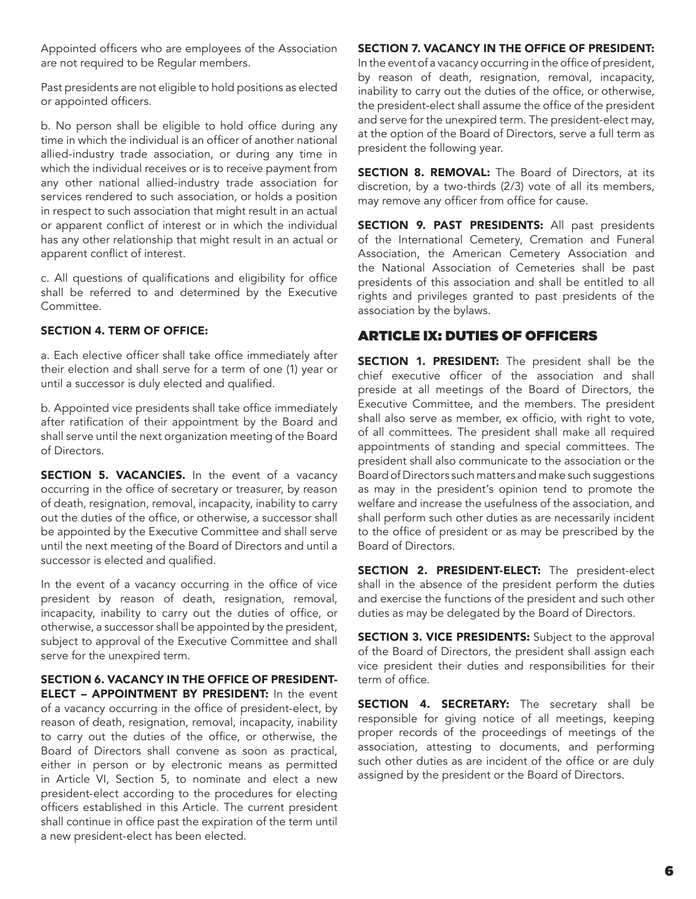Appointed officers who are employees of the Association are not required to be Regular members.

Past presidents are not eligible to hold positions as elected or appointed officers.

b. No person shall be eligible to hold office during any time in which the individual is an officer of another national allied-industry trade association, or during any time in which the individual receives or is to receive payment from any other national allied-industry trade association for services rendered to such association, or holds a position in respect to such association that might result in an actual or apparent conflict of interest or in which the individual has any other relationship that might result in an actual or apparent conflict of interest.

c. All questions of qualifications and eligibility for office shall be referred to and determined by the Executive Committee.

### Section 4. Term of Office:

a. Each elective officer shall take office immediately after their election and shall serve for a term of one (1) year or until a successor is duly elected and qualified.

b. Appointed vice presidents shall take office immediately after ratification of their appointment by the Board and shall serve until the next organization meeting of the Board of Directors.

SECTION 5. VACANCIES. In the event of a vacancy occurring in the office of secretary or treasurer, by reason of death, resignation, removal, incapacity, inability to carry out the duties of the office, or otherwise, a successor shall be appointed by the Executive Committee and shall serve until the next meeting of the Board of Directors and until a successor is elected and qualified.

In the event of a vacancy occurring in the office of vice president by reason of death, resignation, removal, incapacity, inability to carry out the duties of office, or otherwise, a successor shall be appointed by the president, subject to approval of the Executive Committee and shall serve for the unexpired term.

Section 6. Vacancy in the Office of President-**ELECT - APPOINTMENT BY PRESIDENT:** In the event of a vacancy occurring in the office of president-elect, by reason of death, resignation, removal, incapacity, inability to carry out the duties of the office, or otherwise, the Board of Directors shall convene as soon as practical, either in person or by electronic means as permitted in Article VI, Section 5, to nominate and elect a new president-elect according to the procedures for electing officers established in this Article. The current president shall continue in office past the expiration of the term until a new president-elect has been elected.

### Section 7. Vacancy in the Office of President:

In the event of a vacancy occurring in the office of president, by reason of death, resignation, removal, incapacity, inability to carry out the duties of the office, or otherwise, the president-elect shall assume the office of the president and serve for the unexpired term. The president-elect may, at the option of the Board of Directors, serve a full term as president the following year.

**SECTION 8. REMOVAL:** The Board of Directors, at its discretion, by a two-thirds (2/3) vote of all its members, may remove any officer from office for cause.

SECTION 9. PAST PRESIDENTS: All past presidents of the International Cemetery, Cremation and Funeral Association, the American Cemetery Association and the National Association of Cemeteries shall be past presidents of this association and shall be entitled to all rights and privileges granted to past presidents of the association by the bylaws.

# ARTICLE IX: DUTIES OF OFFICERS

SECTION 1. PRESIDENT: The president shall be the chief executive officer of the association and shall preside at all meetings of the Board of Directors, the Executive Committee, and the members. The president shall also serve as member, ex officio, with right to vote, of all committees. The president shall make all required appointments of standing and special committees. The president shall also communicate to the association or the Board of Directors such matters and make such suggestions as may in the president's opinion tend to promote the welfare and increase the usefulness of the association, and shall perform such other duties as are necessarily incident to the office of president or as may be prescribed by the Board of Directors.

SECTION 2. PRESIDENT-ELECT: The president-elect shall in the absence of the president perform the duties and exercise the functions of the president and such other duties as may be delegated by the Board of Directors.

SECTION 3. VICE PRESIDENTS: Subject to the approval of the Board of Directors, the president shall assign each vice president their duties and responsibilities for their term of office.

SECTION 4. SECRETARY: The secretary shall be responsible for giving notice of all meetings, keeping proper records of the proceedings of meetings of the association, attesting to documents, and performing such other duties as are incident of the office or are duly assigned by the president or the Board of Directors.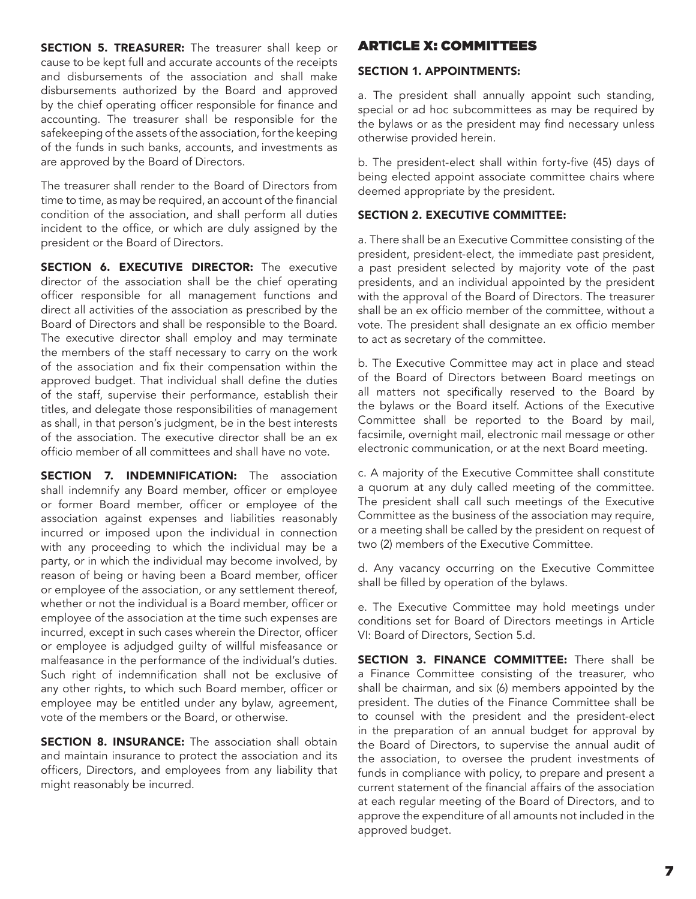**SECTION 5. TREASURER:** The treasurer shall keep or cause to be kept full and accurate accounts of the receipts and disbursements of the association and shall make disbursements authorized by the Board and approved by the chief operating officer responsible for finance and accounting. The treasurer shall be responsible for the safekeeping of the assets of the association, for the keeping of the funds in such banks, accounts, and investments as are approved by the Board of Directors.

The treasurer shall render to the Board of Directors from time to time, as may be required, an account of the financial condition of the association, and shall perform all duties incident to the office, or which are duly assigned by the president or the Board of Directors.

SECTION 6. EXECUTIVE DIRECTOR: The executive director of the association shall be the chief operating officer responsible for all management functions and direct all activities of the association as prescribed by the Board of Directors and shall be responsible to the Board. The executive director shall employ and may terminate the members of the staff necessary to carry on the work of the association and fix their compensation within the approved budget. That individual shall define the duties of the staff, supervise their performance, establish their titles, and delegate those responsibilities of management as shall, in that person's judgment, be in the best interests of the association. The executive director shall be an ex officio member of all committees and shall have no vote.

**SECTION 7. INDEMNIFICATION:** The association shall indemnify any Board member, officer or employee or former Board member, officer or employee of the association against expenses and liabilities reasonably incurred or imposed upon the individual in connection with any proceeding to which the individual may be a party, or in which the individual may become involved, by reason of being or having been a Board member, officer or employee of the association, or any settlement thereof, whether or not the individual is a Board member, officer or employee of the association at the time such expenses are incurred, except in such cases wherein the Director, officer or employee is adjudged guilty of willful misfeasance or malfeasance in the performance of the individual's duties. Such right of indemnification shall not be exclusive of any other rights, to which such Board member, officer or employee may be entitled under any bylaw, agreement, vote of the members or the Board, or otherwise.

**SECTION 8. INSURANCE:** The association shall obtain and maintain insurance to protect the association and its officers, Directors, and employees from any liability that might reasonably be incurred.

## ARTICLE X: COMMITTEES

#### Section 1. Appointments:

a. The president shall annually appoint such standing, special or ad hoc subcommittees as may be required by the bylaws or as the president may find necessary unless otherwise provided herein.

b. The president-elect shall within forty-five (45) days of being elected appoint associate committee chairs where deemed appropriate by the president.

### Section 2. Executive Committee:

a. There shall be an Executive Committee consisting of the president, president-elect, the immediate past president, a past president selected by majority vote of the past presidents, and an individual appointed by the president with the approval of the Board of Directors. The treasurer shall be an ex officio member of the committee, without a vote. The president shall designate an ex officio member to act as secretary of the committee.

b. The Executive Committee may act in place and stead of the Board of Directors between Board meetings on all matters not specifically reserved to the Board by the bylaws or the Board itself. Actions of the Executive Committee shall be reported to the Board by mail, facsimile, overnight mail, electronic mail message or other electronic communication, or at the next Board meeting.

c. A majority of the Executive Committee shall constitute a quorum at any duly called meeting of the committee. The president shall call such meetings of the Executive Committee as the business of the association may require, or a meeting shall be called by the president on request of two (2) members of the Executive Committee.

d. Any vacancy occurring on the Executive Committee shall be filled by operation of the bylaws.

e. The Executive Committee may hold meetings under conditions set for Board of Directors meetings in Article VI: Board of Directors, Section 5.d.

SECTION 3. FINANCE COMMITTEE: There shall be a Finance Committee consisting of the treasurer, who shall be chairman, and six (6) members appointed by the president. The duties of the Finance Committee shall be to counsel with the president and the president-elect in the preparation of an annual budget for approval by the Board of Directors, to supervise the annual audit of the association, to oversee the prudent investments of funds in compliance with policy, to prepare and present a current statement of the financial affairs of the association at each regular meeting of the Board of Directors, and to approve the expenditure of all amounts not included in the approved budget.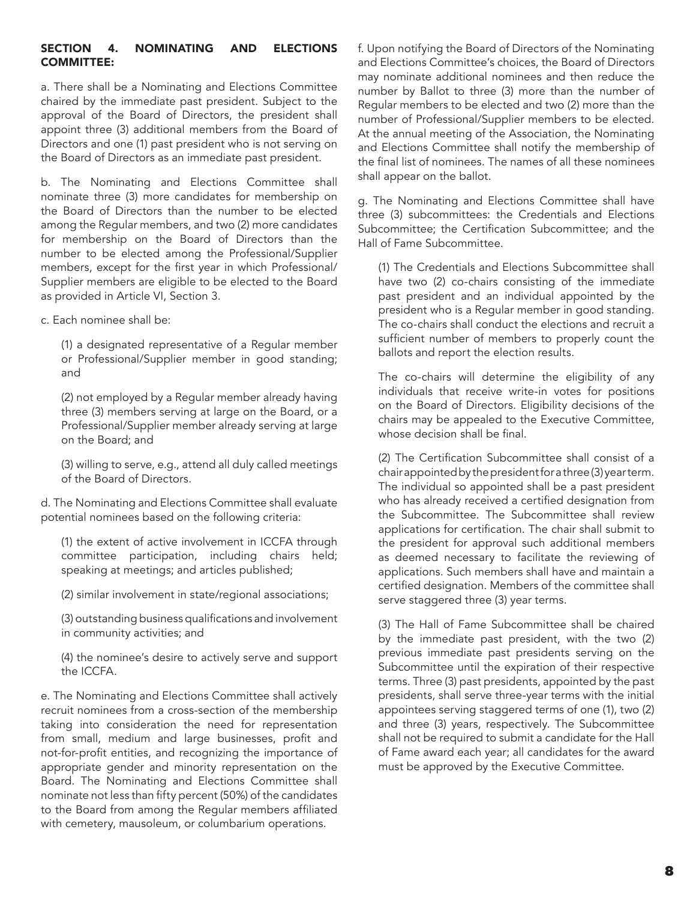### Section 4. Nominating and Elections **COMMITTEE:**

a. There shall be a Nominating and Elections Committee chaired by the immediate past president. Subject to the approval of the Board of Directors, the president shall appoint three (3) additional members from the Board of Directors and one (1) past president who is not serving on the Board of Directors as an immediate past president.

b. The Nominating and Elections Committee shall nominate three (3) more candidates for membership on the Board of Directors than the number to be elected among the Regular members, and two (2) more candidates for membership on the Board of Directors than the number to be elected among the Professional/Supplier members, except for the first year in which Professional/ Supplier members are eligible to be elected to the Board as provided in Article VI, Section 3.

c. Each nominee shall be:

(1) a designated representative of a Regular member or Professional/Supplier member in good standing; and

(2) not employed by a Regular member already having three (3) members serving at large on the Board, or a Professional/Supplier member already serving at large on the Board; and

(3) willing to serve, e.g., attend all duly called meetings of the Board of Directors.

d. The Nominating and Elections Committee shall evaluate potential nominees based on the following criteria:

(1) the extent of active involvement in ICCFA through committee participation, including chairs held; speaking at meetings; and articles published;

(2) similar involvement in state/regional associations;

(3) outstanding business qualifications and involvement in community activities; and

(4) the nominee's desire to actively serve and support the ICCFA.

e. The Nominating and Elections Committee shall actively recruit nominees from a cross-section of the membership taking into consideration the need for representation from small, medium and large businesses, profit and not-for-profit entities, and recognizing the importance of appropriate gender and minority representation on the Board. The Nominating and Elections Committee shall nominate not less than fifty percent (50%) of the candidates to the Board from among the Regular members affiliated with cemetery, mausoleum, or columbarium operations.

f. Upon notifying the Board of Directors of the Nominating and Elections Committee's choices, the Board of Directors may nominate additional nominees and then reduce the number by Ballot to three (3) more than the number of Regular members to be elected and two (2) more than the number of Professional/Supplier members to be elected. At the annual meeting of the Association, the Nominating and Elections Committee shall notify the membership of the final list of nominees. The names of all these nominees shall appear on the ballot.

g. The Nominating and Elections Committee shall have three (3) subcommittees: the Credentials and Elections Subcommittee; the Certification Subcommittee; and the Hall of Fame Subcommittee.

(1) The Credentials and Elections Subcommittee shall have two (2) co-chairs consisting of the immediate past president and an individual appointed by the president who is a Regular member in good standing. The co-chairs shall conduct the elections and recruit a sufficient number of members to properly count the ballots and report the election results.

The co-chairs will determine the eligibility of any individuals that receive write-in votes for positions on the Board of Directors. Eligibility decisions of the chairs may be appealed to the Executive Committee, whose decision shall be final.

(2) The Certification Subcommittee shall consist of a chair appointed by the president for a three (3) year term. The individual so appointed shall be a past president who has already received a certified designation from the Subcommittee. The Subcommittee shall review applications for certification. The chair shall submit to the president for approval such additional members as deemed necessary to facilitate the reviewing of applications. Such members shall have and maintain a certified designation. Members of the committee shall serve staggered three (3) year terms.

(3) The Hall of Fame Subcommittee shall be chaired by the immediate past president, with the two (2) previous immediate past presidents serving on the Subcommittee until the expiration of their respective terms. Three (3) past presidents, appointed by the past presidents, shall serve three-year terms with the initial appointees serving staggered terms of one (1), two (2) and three (3) years, respectively. The Subcommittee shall not be required to submit a candidate for the Hall of Fame award each year; all candidates for the award must be approved by the Executive Committee.